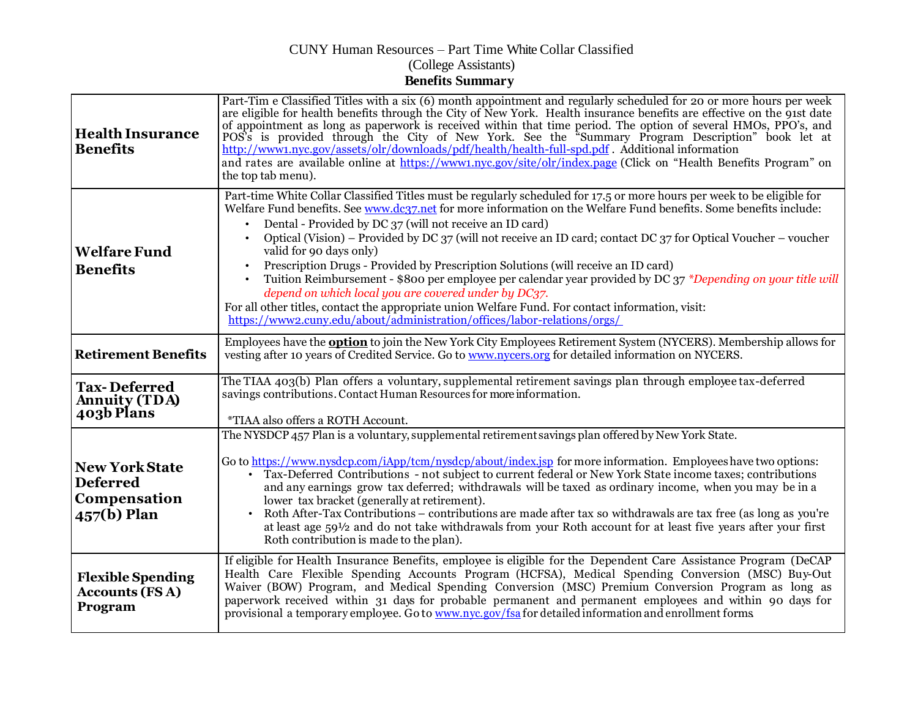## CUNY Human Resources – Part Time White Collar Classified (College Assistants) **Benefits Summary**

| <b>Health Insurance</b><br><b>Benefits</b>                                | Part-Tim e Classified Titles with a six (6) month appointment and regularly scheduled for 20 or more hours per week<br>are eligible for health benefits through the City of New York. Health insurance benefits are effective on the 91st date<br>of appointment as long as paperwork is received within that time period. The option of several HMOs, PPO's, and<br>POS's is provided through the City of New York. See the "Summary Program Description" book let at<br>http://www1.nyc.gov/assets/olr/downloads/pdf/health/health-full-spd.pdf. Additional information<br>and rates are available online at https://www1.nyc.gov/site/olr/index.page (Click on "Health Benefits Program" on<br>the top tab menu).                                                                                                                                                                                |
|---------------------------------------------------------------------------|-----------------------------------------------------------------------------------------------------------------------------------------------------------------------------------------------------------------------------------------------------------------------------------------------------------------------------------------------------------------------------------------------------------------------------------------------------------------------------------------------------------------------------------------------------------------------------------------------------------------------------------------------------------------------------------------------------------------------------------------------------------------------------------------------------------------------------------------------------------------------------------------------------|
| <b>Welfare Fund</b><br><b>Benefits</b>                                    | Part-time White Collar Classified Titles must be regularly scheduled for 17.5 or more hours per week to be eligible for<br>Welfare Fund benefits. See www.dc37.net for more information on the Welfare Fund benefits. Some benefits include:<br>Dental - Provided by DC 37 (will not receive an ID card)<br>Optical (Vision) – Provided by DC 37 (will not receive an ID card; contact DC 37 for Optical Voucher – voucher<br>valid for 90 days only)<br>Prescription Drugs - Provided by Prescription Solutions (will receive an ID card)<br>Tuition Reimbursement - \$800 per employee per calendar year provided by DC 37 *Depending on your title will<br>depend on which local you are covered under by DC37.<br>For all other titles, contact the appropriate union Welfare Fund. For contact information, visit:<br>https://www2.cuny.edu/about/administration/offices/labor-relations/orgs/ |
| <b>Retirement Benefits</b>                                                | Employees have the <b>option</b> to join the New York City Employees Retirement System (NYCERS). Membership allows for<br>vesting after 10 years of Credited Service. Go to www.nycers.org for detailed information on NYCERS.                                                                                                                                                                                                                                                                                                                                                                                                                                                                                                                                                                                                                                                                      |
| <b>Tax-Deferred</b><br><b>Annuity (TDA)</b><br>403b Plans                 | The TIAA 403(b) Plan offers a voluntary, supplemental retirement savings plan through employee tax-deferred<br>savings contributions. Contact Human Resources for more information.<br>*TIAA also offers a ROTH Account.                                                                                                                                                                                                                                                                                                                                                                                                                                                                                                                                                                                                                                                                            |
| <b>New York State</b><br><b>Deferred</b><br>Compensation<br>$457(b)$ Plan | The NYSDCP 457 Plan is a voluntary, supplemental retirement savings plan offered by New York State.<br>Go to https://www.nysdcp.com/iApp/tcm/nysdcp/about/index.jsp for more information. Employees have two options:<br>Tax-Deferred Contributions - not subject to current federal or New York State income taxes; contributions<br>and any earnings grow tax deferred; withdrawals will be taxed as ordinary income, when you may be in a<br>lower tax bracket (generally at retirement).<br>Roth After-Tax Contributions - contributions are made after tax so withdrawals are tax free (as long as you're<br>at least age $59\frac{1}{2}$ and do not take withdrawals from your Roth account for at least five years after your first<br>Roth contribution is made to the plan).                                                                                                               |
| <b>Flexible Spending</b><br><b>Accounts (FSA)</b><br>Program              | If eligible for Health Insurance Benefits, employee is eligible for the Dependent Care Assistance Program (DeCAP<br>Health Care Flexible Spending Accounts Program (HCFSA), Medical Spending Conversion (MSC) Buy-Out<br>Waiver (BOW) Program, and Medical Spending Conversion (MSC) Premium Conversion Program as long as<br>paperwork received within 31 days for probable permanent and permanent employees and within 90 days for<br>provisional a temporary employee. Go to www.nyc.gov/fsa for detailed information and enrollment forms                                                                                                                                                                                                                                                                                                                                                      |